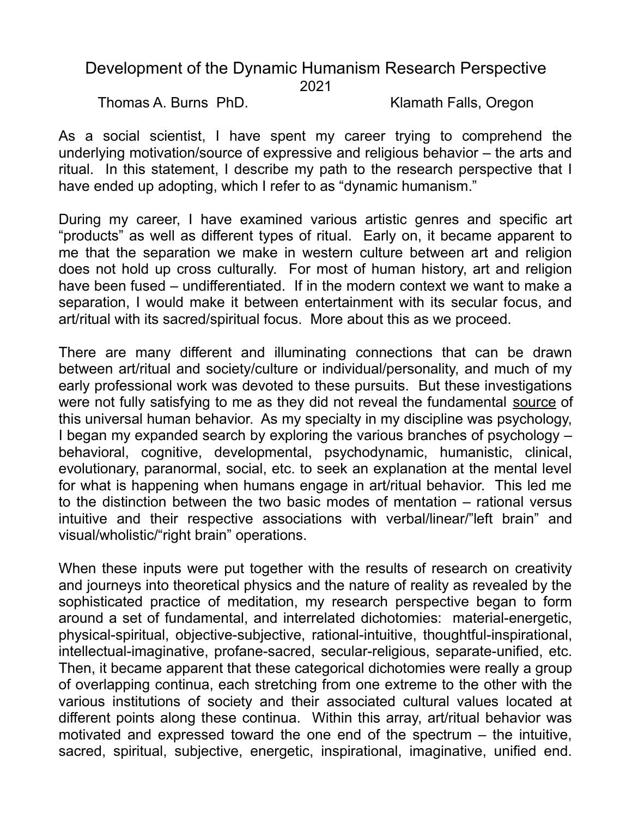## Development of the Dynamic Humanism Research Perspective 2021

Thomas A. Burns PhD. Klamath Falls, Oregon

As a social scientist, I have spent my career trying to comprehend the underlying motivation/source of expressive and religious behavior – the arts and ritual. In this statement, I describe my path to the research perspective that I have ended up adopting, which I refer to as "dynamic humanism."

During my career, I have examined various artistic genres and specific art "products" as well as different types of ritual. Early on, it became apparent to me that the separation we make in western culture between art and religion does not hold up cross culturally. For most of human history, art and religion have been fused – undifferentiated. If in the modern context we want to make a separation, I would make it between entertainment with its secular focus, and art/ritual with its sacred/spiritual focus. More about this as we proceed.

There are many different and illuminating connections that can be drawn between art/ritual and society/culture or individual/personality, and much of my early professional work was devoted to these pursuits. But these investigations were not fully satisfying to me as they did not reveal the fundamental source of this universal human behavior. As my specialty in my discipline was psychology, I began my expanded search by exploring the various branches of psychology – behavioral, cognitive, developmental, psychodynamic, humanistic, clinical, evolutionary, paranormal, social, etc. to seek an explanation at the mental level for what is happening when humans engage in art/ritual behavior. This led me to the distinction between the two basic modes of mentation – rational versus intuitive and their respective associations with verbal/linear/"left brain" and visual/wholistic/"right brain" operations.

When these inputs were put together with the results of research on creativity and journeys into theoretical physics and the nature of reality as revealed by the sophisticated practice of meditation, my research perspective began to form around a set of fundamental, and interrelated dichotomies: material-energetic, physical-spiritual, objective-subjective, rational-intuitive, thoughtful-inspirational, intellectual-imaginative, profane-sacred, secular-religious, separate-unified, etc. Then, it became apparent that these categorical dichotomies were really a group of overlapping continua, each stretching from one extreme to the other with the various institutions of society and their associated cultural values located at different points along these continua. Within this array, art/ritual behavior was motivated and expressed toward the one end of the spectrum – the intuitive, sacred, spiritual, subjective, energetic, inspirational, imaginative, unified end.